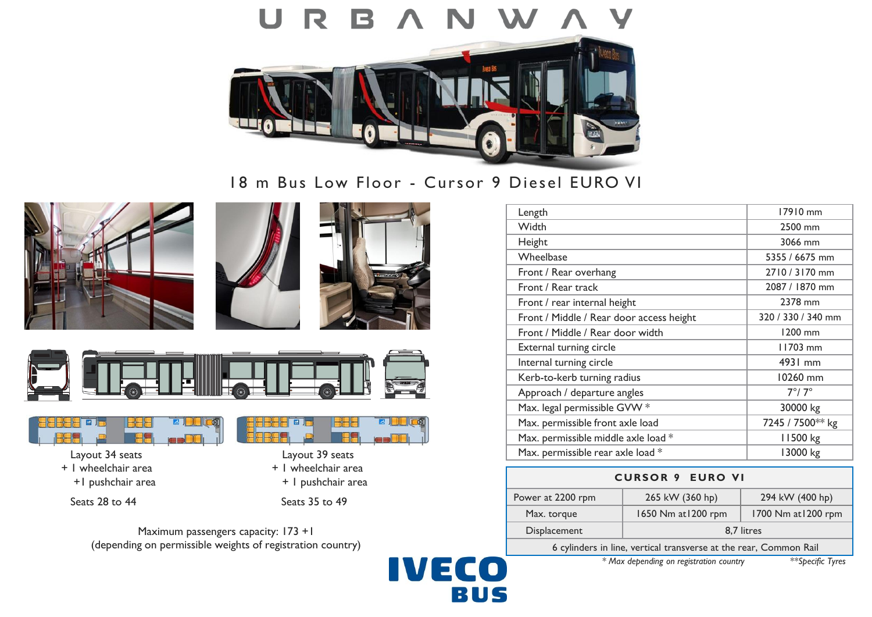

18 m Bus Low Floor - Cursor 9 Diesel EURO VI











 Layout 34 seats Layout 39 seats + 1 wheelchair area  $+$  1 wheelchair area



+1 pushchair area  $+1$  pushchair area

Seats 28 to 44 Seats 35 to 49

Maximum passengers capacity: 173 +1 (depending on permissible weights of registration country)



| Length                                   | 17910 mm           |
|------------------------------------------|--------------------|
| Width                                    | 2500 mm            |
| Height                                   | 3066 mm            |
| Wheelbase                                | 5355 / 6675 mm     |
| Front / Rear overhang                    | 2710/3170 mm       |
| Front / Rear track                       | 2087 / 1870 mm     |
| Front / rear internal height             | 2378 mm            |
| Front / Middle / Rear door access height | 320 / 330 / 340 mm |
| Front / Middle / Rear door width         | 1200 mm            |
| External turning circle                  | 11703 mm           |
| Internal turning circle                  | 4931 mm            |
| Kerb-to-kerb turning radius              | 10260 mm           |
| Approach / departure angles              | $7^\circ/7^\circ$  |
| Max. legal permissible GVW *             | 30000 kg           |
| Max. permissible front axle load         | 7245 / 7500** kg   |
| Max. permissible middle axle load *      | 11500 kg           |
| Max. permissible rear axle load *        | 13000 kg           |

| <b>CURSOR 9 EURO VI</b> |                     |                     |
|-------------------------|---------------------|---------------------|
| Power at 2200 rpm       | 265 kW (360 hp)     | 294 kW (400 hp)     |
| Max. torque             | 1650 Nm at 1200 rpm | 1700 Nm at 1200 rpm |
| Displacement            | 8.7 litres          |                     |

6 cylinders in line, vertical transverse at the rear, Common Rail

*\* Max depending on registration country \*\*Specific Tyres*